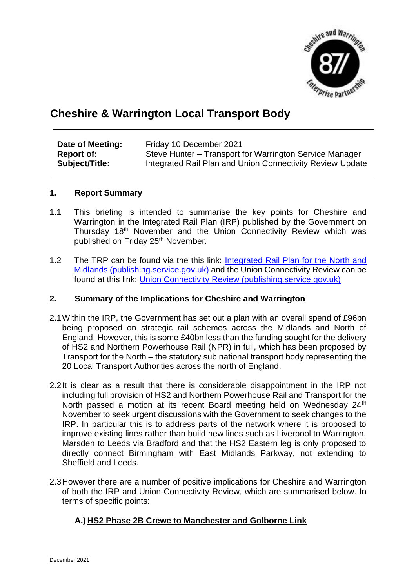

# **Cheshire & Warrington Local Transport Body**

| Date of Meeting:  | Friday 10 December 2021                                   |
|-------------------|-----------------------------------------------------------|
| <b>Report of:</b> | Steve Hunter – Transport for Warrington Service Manager   |
| Subject/Title:    | Integrated Rail Plan and Union Connectivity Review Update |

#### **1. Report Summary**

- 1.1 This briefing is intended to summarise the key points for Cheshire and Warrington in the Integrated Rail Plan (IRP) published by the Government on Thursday 18th November and the Union Connectivity Review which was published on Friday 25<sup>th</sup> November.
- 1.2 The TRP can be found via the this link: Integrated Rail Plan for the North and Midlands (publishing.service.gov.uk) and the Union Connectivity Review can be found at this link: Union Connectivity Review (publishing.service.gov.uk)

#### **2. Summary of the Implications for Cheshire and Warrington**

- 2.1Within the IRP, the Government has set out a plan with an overall spend of £96bn being proposed on strategic rail schemes across the Midlands and North of England. However, this is some £40bn less than the funding sought for the delivery of HS2 and Northern Powerhouse Rail (NPR) in full, which has been proposed by Transport for the North – the statutory sub national transport body representing the 20 Local Transport Authorities across the north of England.
- 2.2It is clear as a result that there is considerable disappointment in the IRP not including full provision of HS2 and Northern Powerhouse Rail and Transport for the North passed a motion at its recent Board meeting held on Wednesday 24<sup>th</sup> November to seek urgent discussions with the Government to seek changes to the IRP. In particular this is to address parts of the network where it is proposed to improve existing lines rather than build new lines such as Liverpool to Warrington, Marsden to Leeds via Bradford and that the HS2 Eastern leg is only proposed to directly connect Birmingham with East Midlands Parkway, not extending to Sheffield and Leeds.
- 2.3However there are a number of positive implications for Cheshire and Warrington of both the IRP and Union Connectivity Review, which are summarised below. In terms of specific points:

### **A.) HS2 Phase 2B Crewe to Manchester and Golborne Link**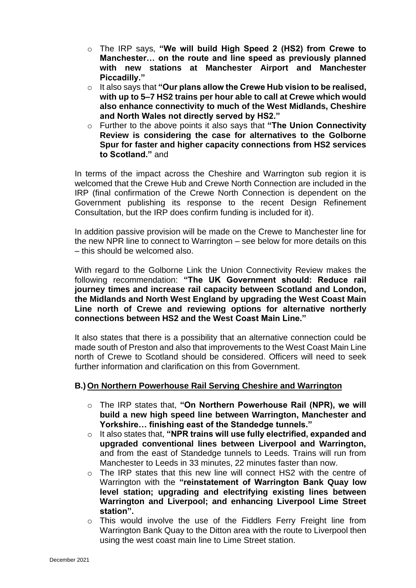- o The IRP says, **"We will build High Speed 2 (HS2) from Crewe to Manchester… on the route and line speed as previously planned with new stations at Manchester Airport and Manchester Piccadilly."**
- o It also says that **"Our plans allow the Crewe Hub vision to be realised, with up to 5–7 HS2 trains per hour able to call at Crewe which would also enhance connectivity to much of the West Midlands, Cheshire and North Wales not directly served by HS2."**
- o Further to the above points it also says that **"The Union Connectivity Review is considering the case for alternatives to the Golborne Spur for faster and higher capacity connections from HS2 services to Scotland."** and

In terms of the impact across the Cheshire and Warrington sub region it is welcomed that the Crewe Hub and Crewe North Connection are included in the IRP (final confirmation of the Crewe North Connection is dependent on the Government publishing its response to the recent Design Refinement Consultation, but the IRP does confirm funding is included for it).

In addition passive provision will be made on the Crewe to Manchester line for the new NPR line to connect to Warrington – see below for more details on this – this should be welcomed also.

With regard to the Golborne Link the Union Connectivity Review makes the following recommendation: **"The UK Government should: Reduce rail journey times and increase rail capacity between Scotland and London, the Midlands and North West England by upgrading the West Coast Main Line north of Crewe and reviewing options for alternative northerly connections between HS2 and the West Coast Main Line."**

It also states that there is a possibility that an alternative connection could be made south of Preston and also that improvements to the West Coast Main Line north of Crewe to Scotland should be considered. Officers will need to seek further information and clarification on this from Government.

#### **B.) On Northern Powerhouse Rail Serving Cheshire and Warrington**

- o The IRP states that, **"On Northern Powerhouse Rail (NPR), we will build a new high speed line between Warrington, Manchester and Yorkshire… finishing east of the Standedge tunnels."**
- o It also states that, **"NPR trains will use fully electrified, expanded and upgraded conventional lines between Liverpool and Warrington,** and from the east of Standedge tunnels to Leeds. Trains will run from Manchester to Leeds in 33 minutes, 22 minutes faster than now.
- $\circ$  The IRP states that this new line will connect HS2 with the centre of Warrington with the **"reinstatement of Warrington Bank Quay low level station; upgrading and electrifying existing lines between Warrington and Liverpool; and enhancing Liverpool Lime Street station".**
- o This would involve the use of the Fiddlers Ferry Freight line from Warrington Bank Quay to the Ditton area with the route to Liverpool then using the west coast main line to Lime Street station.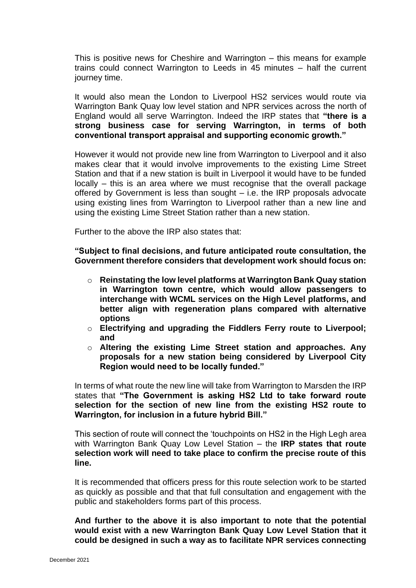This is positive news for Cheshire and Warrington – this means for example trains could connect Warrington to Leeds in 45 minutes – half the current journey time.

It would also mean the London to Liverpool HS2 services would route via Warrington Bank Quay low level station and NPR services across the north of England would all serve Warrington. Indeed the IRP states that **"there is a strong business case for serving Warrington, in terms of both conventional transport appraisal and supporting economic growth."**

However it would not provide new line from Warrington to Liverpool and it also makes clear that it would involve improvements to the existing Lime Street Station and that if a new station is built in Liverpool it would have to be funded locally – this is an area where we must recognise that the overall package offered by Government is less than sought – i.e. the IRP proposals advocate using existing lines from Warrington to Liverpool rather than a new line and using the existing Lime Street Station rather than a new station.

Further to the above the IRP also states that:

**"Subject to final decisions, and future anticipated route consultation, the Government therefore considers that development work should focus on:**

- o **Reinstating the low level platforms at Warrington Bank Quay station in Warrington town centre, which would allow passengers to interchange with WCML services on the High Level platforms, and better align with regeneration plans compared with alternative options**
- o **Electrifying and upgrading the Fiddlers Ferry route to Liverpool; and**
- o **Altering the existing Lime Street station and approaches. Any proposals for a new station being considered by Liverpool City Region would need to be locally funded."**

In terms of what route the new line will take from Warrington to Marsden the IRP states that **"The Government is asking HS2 Ltd to take forward route selection for the section of new line from the existing HS2 route to Warrington, for inclusion in a future hybrid Bill."**

This section of route will connect the 'touchpoints on HS2 in the High Legh area with Warrington Bank Quay Low Level Station – the **IRP states that route selection work will need to take place to confirm the precise route of this line.**

It is recommended that officers press for this route selection work to be started as quickly as possible and that that full consultation and engagement with the public and stakeholders forms part of this process.

**And further to the above it is also important to note that the potential would exist with a new Warrington Bank Quay Low Level Station that it could be designed in such a way as to facilitate NPR services connecting**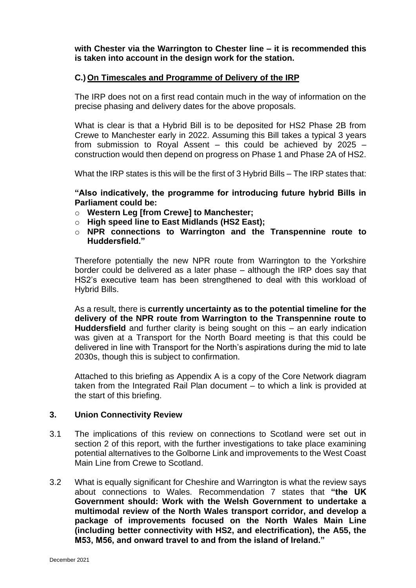**with Chester via the Warrington to Chester line – it is recommended this is taken into account in the design work for the station.**

#### **C.) On Timescales and Programme of Delivery of the IRP**

The IRP does not on a first read contain much in the way of information on the precise phasing and delivery dates for the above proposals.

What is clear is that a Hybrid Bill is to be deposited for HS2 Phase 2B from Crewe to Manchester early in 2022. Assuming this Bill takes a typical 3 years from submission to Royal Assent – this could be achieved by 2025 – construction would then depend on progress on Phase 1 and Phase 2A of HS2.

What the IRP states is this will be the first of 3 Hybrid Bills – The IRP states that:

**"Also indicatively, the programme for introducing future hybrid Bills in Parliament could be:**

- o **Western Leg [from Crewe] to Manchester;**
- o **High speed line to East Midlands (HS2 East);**
- o **NPR connections to Warrington and the Transpennine route to Huddersfield."**

Therefore potentially the new NPR route from Warrington to the Yorkshire border could be delivered as a later phase – although the IRP does say that HS2's executive team has been strengthened to deal with this workload of Hybrid Bills.

As a result, there is **currently uncertainty as to the potential timeline for the delivery of the NPR route from Warrington to the Transpennine route to Huddersfield** and further clarity is being sought on this – an early indication was given at a Transport for the North Board meeting is that this could be delivered in line with Transport for the North's aspirations during the mid to late 2030s, though this is subject to confirmation.

Attached to this briefing as Appendix A is a copy of the Core Network diagram taken from the Integrated Rail Plan document – to which a link is provided at the start of this briefing.

#### **3. Union Connectivity Review**

- 3.1 The implications of this review on connections to Scotland were set out in section 2 of this report, with the further investigations to take place examining potential alternatives to the Golborne Link and improvements to the West Coast Main Line from Crewe to Scotland.
- 3.2 What is equally significant for Cheshire and Warrington is what the review says about connections to Wales. Recommendation 7 states that **"the UK Government should: Work with the Welsh Government to undertake a multimodal review of the North Wales transport corridor, and develop a package of improvements focused on the North Wales Main Line (including better connectivity with HS2, and electrification), the A55, the M53, M56, and onward travel to and from the island of Ireland."**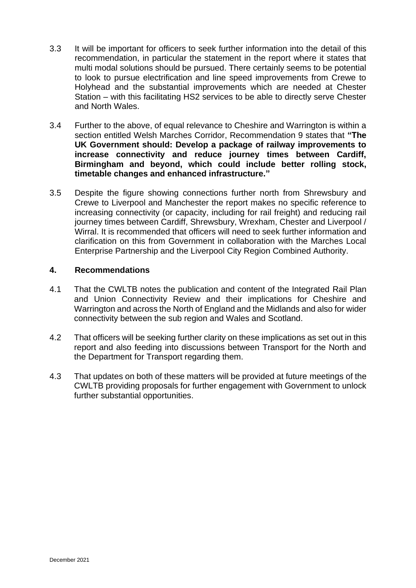- 3.3 It will be important for officers to seek further information into the detail of this recommendation, in particular the statement in the report where it states that multi modal solutions should be pursued. There certainly seems to be potential to look to pursue electrification and line speed improvements from Crewe to Holyhead and the substantial improvements which are needed at Chester Station – with this facilitating HS2 services to be able to directly serve Chester and North Wales.
- 3.4 Further to the above, of equal relevance to Cheshire and Warrington is within a section entitled Welsh Marches Corridor, Recommendation 9 states that **"The UK Government should: Develop a package of railway improvements to increase connectivity and reduce journey times between Cardiff, Birmingham and beyond, which could include better rolling stock, timetable changes and enhanced infrastructure."**
- 3.5 Despite the figure showing connections further north from Shrewsbury and Crewe to Liverpool and Manchester the report makes no specific reference to increasing connectivity (or capacity, including for rail freight) and reducing rail journey times between Cardiff, Shrewsbury, Wrexham, Chester and Liverpool / Wirral. It is recommended that officers will need to seek further information and clarification on this from Government in collaboration with the Marches Local Enterprise Partnership and the Liverpool City Region Combined Authority.

#### **4. Recommendations**

- 4.1 That the CWLTB notes the publication and content of the Integrated Rail Plan and Union Connectivity Review and their implications for Cheshire and Warrington and across the North of England and the Midlands and also for wider connectivity between the sub region and Wales and Scotland.
- 4.2 That officers will be seeking further clarity on these implications as set out in this report and also feeding into discussions between Transport for the North and the Department for Transport regarding them.
- 4.3 That updates on both of these matters will be provided at future meetings of the CWLTB providing proposals for further engagement with Government to unlock further substantial opportunities.